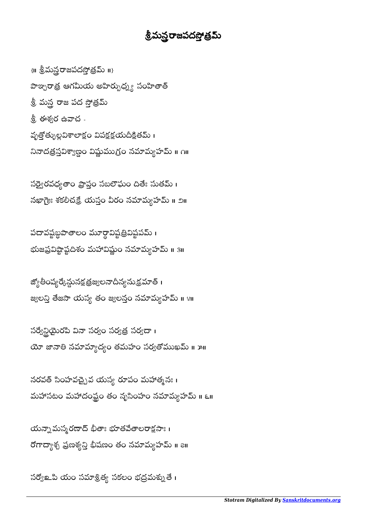## శ్రీమన్లరాజపదస్తోత్రమ్

 $\{ \mathsf{II} \text{ } \overset{\circ}{\mathsf{S}} \text{ and } \overset{\circ}{\mathsf{S}} \text{ and } \overset{\circ}{\mathsf{S}} \text{ and } \overset{\circ}{\mathsf{S}} \text{ and } \overset{\circ}{\mathsf{S}} \text{ and } \overset{\circ}{\mathsf{S}} \text{ and } \overset{\circ}{\mathsf{S}} \text{ and } \overset{\circ}{\mathsf{S}} \text{ and } \overset{\circ}{\mathsf{S}} \text{ and } \overset{\circ}{\mathsf{S}} \text{ and } \overset{\circ}{\mathsf{S}} \text{ and } \overset{\circ}{\mathsf{S}} \text{ and } \overset$ పాఞ్చరాత్ర ఆగమీయ అహిర్బుధ్న్య సంహితాత్ శ్రీ మన్త రాజ పద స్తోత్రమ్ శ్రీ ఈశ్వర ఉవాచ -వృత్తోత్ళుల్లవిశాలాక్షం విపక్షక్షయదీక్షితమ్ । నినాదత్రస్తవిశ్వాణ్ణం విష్ణుముగ్రం నమామ్యహమ్ ॥ ౧॥

సర్వై రవధ్యతాం ప్రాప్తం సబలౌఘం దితేః సుతమ్ । నఖాగ్రౌః శకలీచక్రే యస్తం వీరం నమామ్యహమ్ ॥ ౨॥

పదావష్టబ్ధపాతాలం మూర్ధావిష్టత్రివిష్టపమ్ ।  $\overline{a}$ ֜֡ భుజప్రవిష్టాష్టదిశం మహావిష్ణుం నమామ్యహమ్ ॥ ३॥

జ్యోతీంష్యర్కేన్దునక్షత్రజ్వలనాదీన్యనుక్రమాత్ <mark>၊</mark> జ్యలన్తి తేజసా యస్య తం జ్యలన్తం నమామ్యహమ్ ॥ ४॥

సర్వే రైని సినా సర్యం సర్యత్ర సర్యదా । యో జానాతి నమామ్యాద్యం తమహం సర్వతోముఖమ్ ॥ ౫॥

నరవత్ సింహవచ్చైవ యస్య రూపం మహాత్మనః । మహాసటం మహాదంష్టం తం నృసింహం నమామ్యహమ్ ॥ ౬॥

యన్నా మస్మరణాద్ భీతాః భూతవేతాలరాక్షసాః ၊ రోగాద్యాశ్చ ప్రణశ్వన్తి భీషణం తం నమామ్యహమ్ ॥ ౭॥

సర్వో మి యం సమాశ్రిత్య సకలం భద్రమశ్నుతే।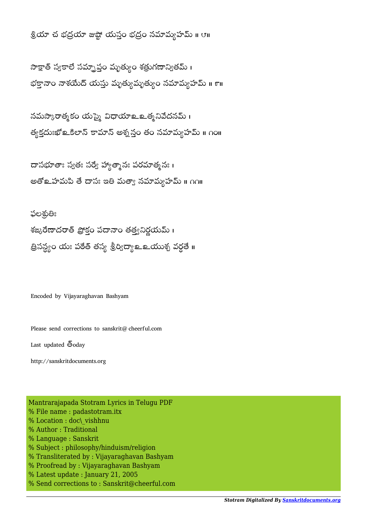శ్రియా చ భద్రయా జుష్టో యస్తం భద్రం నమామ్యహమ్ ॥ ౮॥

సాక్షాత్ స్వకాలే సమ్నాప్తం మృత్యుం శత్రుగణాన్వితమ్ । భక్తానాం నాశయేద్ యస్తు మృత్యుమృత్యం నమామ్యహమ్ ॥ ౯॥

నమస్కారాత్మకం యస్మై విధాయాஉ త్మనివేదనమ్ । త్యక్తదుఃఖో ఒకిలాన్ కామాన్ అశ్మ స్తం తం నమామ్యహమ్ ॥ ౧౦॥

దాసభూతాః స్వతః సర్వే హ్యాత్మానః పరమాత్మనః। అతోஉహమపి తే దాసః ఇతి మత్యా నమామ్యహమ్ ॥ ∩∩॥

ఫలశుతిః శఙ్మరేణాదరాత్ ప్రొక్తం పదానాం తత్వనిర్ణయమ్ । త్రిసన్ధ్యం యః పఠేత్ తస్య శ్రీర్విద్యా లా యుశ్చ వర్ధతే ॥

Encoded by Vijayaraghavan Bashyam

Please send corrections to sanskrit@cheerful.com

Last updated  $\bar{6}$ oday

http://sanskritdocuments.org

Mantrarajapada Stotram Lyrics in Telugu PDF % File name : padastotram.itx % Location : doc\ vishhnu % Author : Traditional % Language : Sanskrit % Subject : philosophy/hinduism/religion % Transliterated by : Vijayaraghavan Bashyam % Proofread by : Vijayaraghavan Bashyam % Latest update : January 21, 2005 % Send corrections to : Sanskrit@cheerful.com